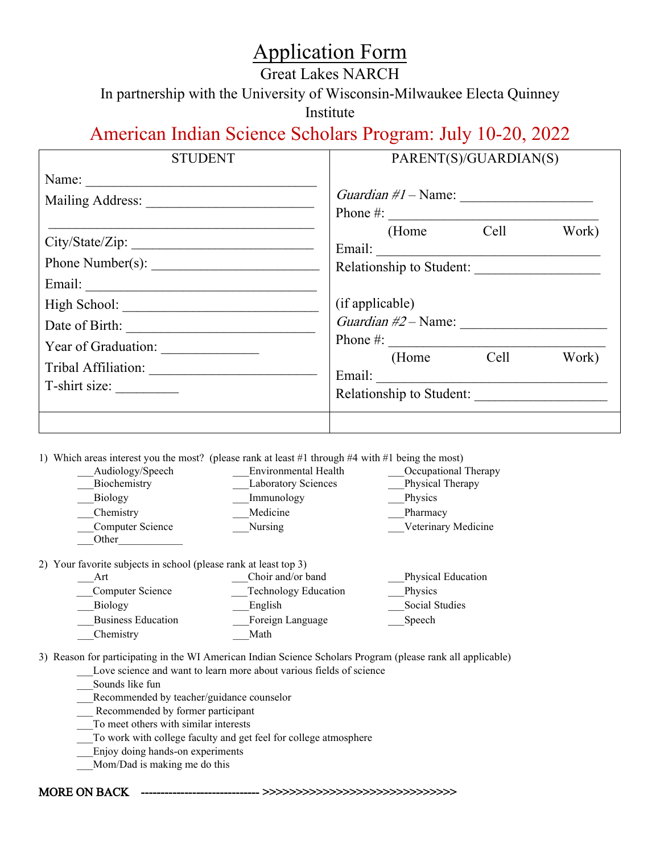## Application Form

## Great Lakes NARCH

In partnership with the University of Wisconsin-Milwaukee Electa Quinney

Institute

## American Indian Science Scholars Program: July 10-20, 2022

| <b>STUDENT</b>  | PARENT(S)/GUARDIAN(S)                                                                                                                                                                                                                                                                                                                                           |  |  |
|-----------------|-----------------------------------------------------------------------------------------------------------------------------------------------------------------------------------------------------------------------------------------------------------------------------------------------------------------------------------------------------------------|--|--|
| Name:           | Phone $\#$ :                                                                                                                                                                                                                                                                                                                                                    |  |  |
| City/State/Zip: | (Home Cell<br>Work)<br>Relationship to Student:                                                                                                                                                                                                                                                                                                                 |  |  |
| Date of Birth:  | (if applicable)<br>Guardian $\#2$ – Name:<br>Phone #: $\frac{1}{2}$ $\frac{1}{2}$ $\frac{1}{2}$ $\frac{1}{2}$ $\frac{1}{2}$ $\frac{1}{2}$ $\frac{1}{2}$ $\frac{1}{2}$ $\frac{1}{2}$ $\frac{1}{2}$ $\frac{1}{2}$ $\frac{1}{2}$ $\frac{1}{2}$ $\frac{1}{2}$ $\frac{1}{2}$ $\frac{1}{2}$ $\frac{1}{2}$ $\frac{1}{2}$ $\frac{1}{2}$ $\frac{1}{2}$ $\frac{1}{2}$ $\$ |  |  |
| T-shirt size:   | (Home Cell<br>Work)<br>Email:<br>Relationship to Student:                                                                                                                                                                                                                                                                                                       |  |  |
|                 |                                                                                                                                                                                                                                                                                                                                                                 |  |  |

1) Which areas interest you the most? (please rank at least #1 through #4 with #1 being the most)

| Audiology/Speech          | Environmental Health       | Occupational Therapy |
|---------------------------|----------------------------|----------------------|
| Biochemistry              | <b>Laboratory Sciences</b> | Physical Therapy     |
| <b>Biology</b>            | Immunology                 | Physics              |
| Chemistry                 | Medicine                   | Pharmacy             |
| Computer Science<br>Other | <b>Nursing</b>             | Veterinary Medicine  |
|                           |                            |                      |

2) Your favorite subjects in school (please rank at least top 3)

| Art                       | Choir and/or band           | Physical Education |
|---------------------------|-----------------------------|--------------------|
| Computer Science          | <b>Technology Education</b> | Physics            |
| Biology                   | English                     | Social Studies     |
| <b>Business Education</b> | Foreign Language            | Speech             |
| Chemistry                 | Math                        |                    |

3) Reason for participating in the WI American Indian Science Scholars Program (please rank all applicable)

Love science and want to learn more about various fields of science

\_\_\_Sounds like fun

Recommended by teacher/guidance counselor

Recommended by former participant

\_\_\_To meet others with similar interests

\_\_\_To work with college faculty and get feel for college atmosphere

\_\_\_Enjoy doing hands-on experiments

Mom/Dad is making me do this

MORE ON BACK ------------------------------ >>>>>>>>>>>>>>>>>>>>>>>>>>>>>